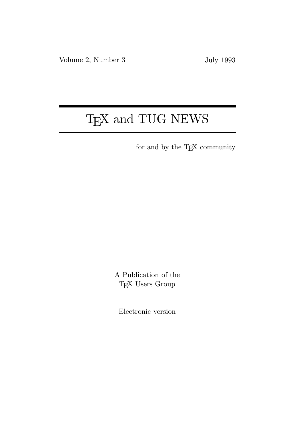# T<sub>E</sub>X and TUG NEWS

for and by the T<sub>E</sub>X community

A Publication of the T<sub>E</sub>X Users Group

Electronic version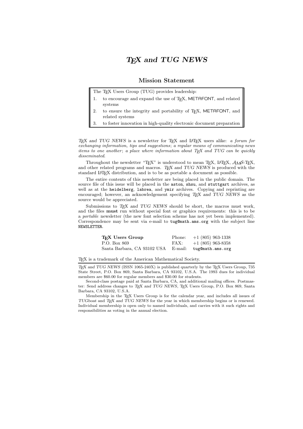# TEX and TUG NEWS

#### Mission Statement

The T<sub>E</sub>X Users Group (TUG) provides leadership:

- 1. to encourage and expand the use of TEX, METAFONT, and related systems
- 2. to ensure the integrity and portability of T<sub>E</sub>X, METAFONT, and related systems
- 3. to foster innovation in high-quality electronic document preparation

T<sub>E</sub>X and TUG NEWS is a newsletter for T<sub>E</sub>X and L<sup>AT</sup>E<sub>X</sub> users alike: a forum for exchanging information, tips and suggestions; a regular means of communicating news items to one another; a place where information about  $T_F X$  and  $T U G$  can be quickly disseminated.

Throughout the newsletter "TEX" is understood to mean TEX, LATEX,  $\mathcal{A}\mathcal{M}$ S-TEX, and other related programs and macros. TEX and TUG NEWS is produced with the standard L<sup>A</sup>TEX distribution, and is to be as portable a document as possible.

The entire contents of this newsletter are being placed in the public domain. The source file of this issue will be placed in the aston, shsu, and stuttgart archives, as well as at the heidelberg, labrea, and ymir archives. Copying and reprinting are encouraged; however, an acknowledgement specifying T<sub>E</sub>X and TUG NEWS as the source would be appreciated.

Submissions to T<sub>F</sub>X and TUG NEWS should be short, the macros must work, and the files must run without special font or graphics requirements: this is to be a portable newsletter (the new font selection scheme has not yet been implemented). Correspondence may be sent via e-mail to tug@math.ams.org with the subject line NEWSLETTER.

| T <sub>EX</sub> Users Group | Phone: | $+1$ (805) 963-1338      |
|-----------------------------|--------|--------------------------|
| P.O. Box 869                | FAX:   | $+1$ (805) 963-8358      |
| Santa Barbara, CA 93102 USA |        | E-mail: tug@math.ams.org |

TEX is a trademark of the American Mathematical Society.

TEX and TUG NEWS (ISSN 1065-240X) is published quarterly by the TEX Users Group, 735 State Street, P.O. Box 869, Santa Barbara, CA 93102, U.S.A. The 1993 dues for individual members are \$60.00 for regular members and \$30.00 for students.

Second-class postage paid at Santa Barbara, CA, and additional mailing offices. Postmaster: Send address changes to TEX and TUG NEWS, TEX Users Group, P.O. Box 869, Santa Barbara, CA 93102, U.S.A.

Membership in the TEX Users Group is for the calendar year, and includes all issues of TUGboat and TEX and TUG NEWS for the year in which membership begins or is renewed. Individual membership is open only to named individuals, and carries with it such rights and responsibilities as voting in the annual election.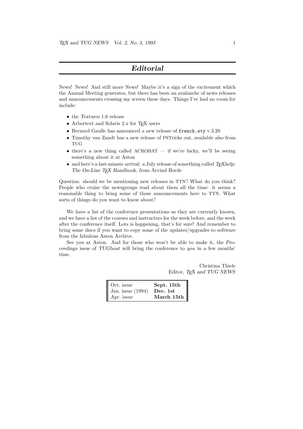# Editorial

News! News! And still more News! Maybe it's a sign of the excitement which the Annual Meeting generates, but there has been an avalanche of news releases and announcements crossing my screen these days. Things I've had no room for include:

- the Textures 1.6 release
- Arbortext and Solaris 2.x for T<sub>EX</sub> users
- Bernard Gaulle has announced a new release of french.sty v.3.20
- Timothy van Zandt has a new release of PSTricks out, available also from TUG
- there's a new thing called  $\Lambda$ CROBAT if we're lucky, we'll be seeing something about it at Aston
- and here's a last-minute arrival: a July release of something called  $T_{F}X$ help: The On-Line TEX Handbook, from Arvind Borde

Question: should we be mentioning new releases in TTN? What do you think? People who cruise the newsgroups read about them all the time: it seems a reasonable thing to bring some of those announcements here to TTN. What sorts of things do you want to know about?

We have a list of the conference presentations as they are currently known, and we have a list of the courses and instructors for the week before, and the week after the conference itself. Lots is happening, that's for sure! And remember to bring some discs if you want to copy some of the updates/upgrades to software from the fabulous Aston Archive.

See you at Aston. And for those who won't be able to make it, the Proceedings issue of TUGboat will bring the conference to you in a few months' time.

> Christina Thiele Editor, TEX and TUG NEWS

| Oct. issue          | Sept. 15th |
|---------------------|------------|
| Jan. issue $(1994)$ | Dec. 1st   |
| Apr. issue          | March 15th |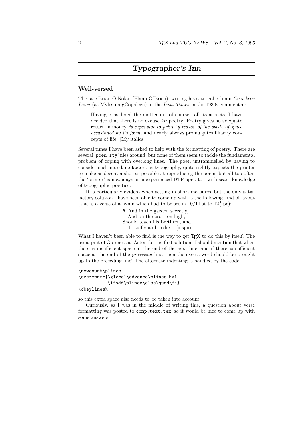# Typographer's Inn

#### Well-versed

The late Brian O'Nolan (Flann O'Brien), writing his satirical column Cruiskeen Lawn (as Myles na gCopaleen) in the *Irish Times* in the 1930s commented:

Having considered the matter in—of course—all its aspects, I have decided that there is no excuse for poetry. Poetry gives no adequate return in money, is expensive to print by reason of the waste of space occasioned by its form, and nearly always promulgates illusory concepts of life. [My italics]

Several times I have been asked to help with the formatting of poetry. There are several 'poem.sty' files around, but none of them seem to tackle the fundamental problem of coping with overlong lines. The poet, untrammelled by having to consider such mundane factors as typography, quite rightly expects the printer to make as decent a shot as possible at reproducing the poem, but all too often the 'printer' is nowadays an inexperienced DTP operator, with scant knowledge of typographic practice.

It is particularly evident when setting in short measures, but the only satisfactory solution I have been able to come up with is the following kind of layout (this is a verse of a hymn which had to be set in  $10/11$  pt to  $12\frac{1}{2}$  pc):

6 And in the garden secretly, And on the cross on high, Should teach his brethren, and To suffer and to die. [inspire

What I haven't been able to find is the way to get TEX to do this by itself. The usual pint of Guinness at Aston for the first solution. I should mention that when there is insufficient space at the end of the next line, and if there is sufficient space at the end of the preceding line, then the excess word should be brought up to the preceding line! The alternate indenting is handled by the code:

```
\newcount\plines
\everypar={\global\advance\plines by1
           \ifodd\plines\else\quad\fi}
\obeylines%
```
so this extra space also needs to be taken into account.

Curiously, as I was in the middle of writing this, a question about verse formatting was posted to comp.text.tex, so it would be nice to come up with some answers.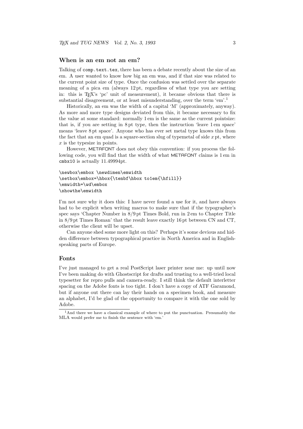#### When is an em not an em?

Talking of comp.text.tex, there has been a debate recently about the size of an em. A user wanted to know how big an em was, and if that size was related to the current point size of type. Once the confusion was settled over the separate meaning of a pica em (always 12 pt, regardless of what type you are setting in: this is TEX's 'pc' unit of measurement), it became obvious that there is substantial disagreement, or at least misunderstanding, over the term 'em'.<sup>1</sup>

Historically, an em was the width of a capital 'M' (approximately, anyway). As more and more type designs deviated from this, it became necessary to fix the value at some standard: normally 1 em is the same as the current pointsize: that is, if you are setting in 8 pt type, then the instruction 'leave 1 em space' means 'leave 8 pt space'. Anyone who has ever set metal type knows this from the fact that an em quad is a square-section slug of typemetal of side  $x$  pt, where  $x$  is the typesize in points.

However, METAFONT does not obey this convention: if you process the following code, you will find that the width of what METAFONT claims is 1 em in cmbx10 is actually 11.49994pt.

```
\newbox\embox \newdimen\emwidth
\setbox\embox=\hbox{\tenbf\hbox to1em{\hfill}}
\emwidth=\wd\embox
\showthe\emwidth
```
I'm not sure why it does this: I have never found a use for it, and have always had to be explicit when writing macros to make sure that if the typographer's spec says 'Chapter Number in 8/9 pt Times Bold, run in 2 em to Chapter Title in 8/9 pt Times Roman' that the result leave exactly 16 pt between CN and CT, otherwise the client will be upset.

Can anyone shed some more light on this? Perhaps it's some devious and hidden difference between typographical practice in North America and in Englishspeaking parts of Europe.

#### Fonts

I've just managed to get a real PostScript laser printer near me: up until now I've been making do with Ghostscript for drafts and trusting to a well-tried local typesetter for repro pulls and camera-ready. I still think the default interletter spacing on the Adobe fonts is too tight. I don't have a copy of ATF Garamond, but if anyone out there can lay their hands on a specimen book, and measure an alphabet, I'd be glad of the opportunity to compare it with the one sold by Adobe.

 $<sup>1</sup>$ And there we have a classical example of where to put the punctuation. Presumably the</sup> MLA would prefer me to finish the sentence with 'em.'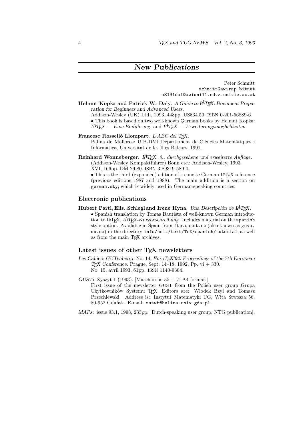# New Publications

Peter Schmitt schmitt@awirap.bitnet a8131dal@awiuni11.edvz.univie.ac.at

Helmut Kopka and Patrick W. Daly. A Guide to  $\cancel{A}T\cancel{P}X$ : Document Preparation for Beginners and Advanced Users. Addison-Wesley (UK) Ltd., 1993. 448pp. US\$34.50. ISBN 0-201-56889-6.

• This book is based on two well-known German books by Helmut Kopka:  $\Delta H_{\text{F}}X$  — Eine Einführung, and  $\Delta H_{\text{F}}X$  — Erweiterungsmöglichkeiten.

- Francesc Rosselló Llompart. L'ABC del TEX. Palma de Mallorca: UIB-DMI Departament de Ciències Matemàtiques i Inform`atica, Universitat de les Illes Balears, 1991.
- Reinhard Wonneberger. L<sup>A</sup>TEX. 3., durchgesehene und erweiterte Auflage. (Addison-Wesley Kompaktführer) Bonn etc.: Addison-Wesley, 1993. XVI, 166pp. DM 29,80. ISBN 3-89319-589-0.

• This is the third (expanded) edition of a concise German LAT<sub>EX</sub> reference (previous editions 1987 and 1988). The main addition is a section on german.sty, which is widely used in German-speaking countries.

#### Electronic publications

Hubert Partl, Elis. Schlegl and Irene Hyna. Una Descripción de  $A^2T_FX$ . • Spanish translation by Tomas Bautista of well-known German introduction to LAT<sub>EX</sub>, LAT<sub>EX</sub>-Kurzbeschreibung. Includes material on the spanish style option. Available in Spain from ftp.eunet.es (also known as goya. uu.es) in the directory info/unix/text/TeX/spanish/tutorial, as well as from the main TEX archives.

#### Latest issues of other T<sub>E</sub>X newsletters

- Les Cahiers GUTenberg: No. 14: EuroTEX'92: Proceedings of the 7th European T<sub>E</sub>X Conference. Prague, Sept. 14–18, 1992. Pp.  $vi + 330$ . No. 15, avril 1993, 61pp. ISSN 1140-9304.
- GUST: Zyszyt 1 (1993). [March issue  $35 + 7$ ; A4 format.] First issue of the newsletter GUST from the Polish user group Grupa Użytkowników Systemu T<sub>E</sub>X. Editors are: Włodek Bzyl and Tomasz Przechlewski. Address is: Instytut Matematyki UG, Wita Stwosza 56, 80-952 Gdańsk. E-mail: matwb@halina.univ.gda.pl.

MAPs: issue 93.1, 1993, 233pp. [Dutch-speaking user group, NTG publication].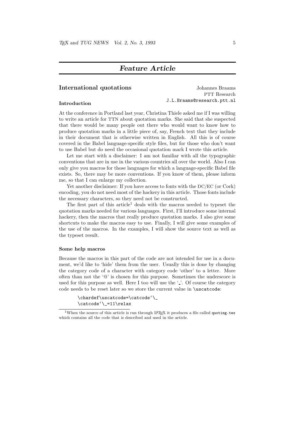### Feature Article

#### International quotations Johannes Braams

PTT Research J.L.Braams@research.ptt.nl Introduction

#### At the conference in Portland last year, Christina Thiele asked me if I was willing to write an article for TTN about quotation marks. She said that she suspected that there would be many people out there who would want to know how to produce quotation marks in a little piece of, say, French text that they include in their document that is otherwise written in English. All this is of course covered in the Babel language-specific style files, but for those who don't want to use Babel but do need the occasional quotation mark I wrote this article.

Let me start with a disclaimer: I am not familiar with all the typographic conventions that are in use in the various countries all over the world. Also I can only give you macros for those languages for which a language-specific Babel file exists. So, there may be more conventions. If you know of them, please inform me, so that I can enlarge my collection.

Yet another disclaimer: If you have access to fonts with the DC/EC (or Cork) encoding, you do not need most of the hackery in this article. Those fonts include the necessary characters, so they need not be constructed.

The first part of this article<sup>1</sup> deals with the macros needed to typeset the quotation marks needed for various languages. First, I'll introduce some internal hackery, then the macros that really produce quotation marks. I also give some shortcuts to make the macros easy to use. Finally, I will give some examples of the use of the macros. In the examples, I will show the source text as well as the typeset result.

#### Some help macros

Because the macros in this part of the code are not intended for use in a document, we'd like to 'hide' them from the user. Usually this is done by changing the category code of a character with category code 'other' to a letter. More often than not the  $\mathcal{P}$  is chosen for this purpose. Sometimes the underscore is used for this purpose as well. Here I too will use the '.'. Of course the category code needs to be reset later so we store the current value in \uscatcode:

```
\chardef\uscatcode=\catcode'\_
\catcode'\_=11\relax
```
<sup>&</sup>lt;sup>1</sup>When the source of this article is run through LAT<sub>EX</sub> it produces a file called quoting.tex which contains all the code that is described and used in the article.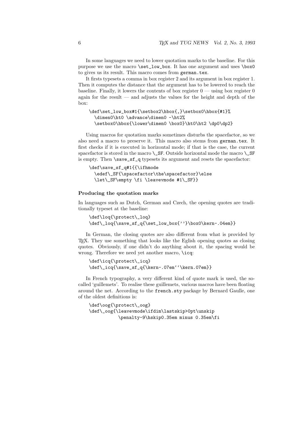In some languages we need to lower quotation marks to the baseline. For this purpose we use the macro \set\_low\_box. It has one argument and uses \box0 to gives us its result. This macro comes from german.tex.

It firsts typesets a comma in box register 2 and its argument in box register 1. Then it computes the distance that the argument has to be lowered to reach the baseline. Finally, it lowers the contents of box register  $0$  — using box register 0 again for the result — and adjusts the values for the height and depth of the box:

```
\def\set_low_box#1{\setbox2\hbox{,}\setbox0\hbox{#1}%
  \dimen0\ht0 \advance\dimen0 -\ht2%
 \setbox0\hbox{\lower\dimen0 \box0}\ht0\ht2 \dp0\dp2}
```
Using macros for quotation marks sometimes disturbs the spacefactor, so we also need a macro to preserve it. This macro also stems from german.tex. It first checks if it is executed in horizontal mode; if that is the case, the current spacefactor is stored in the macro  $\angle$ SF. Outside horizontal mode the macro  $\angle$ SF is empty. Then **\save\_sf\_q** typesets its argument and resets the spacefactor:

```
\def\save_sf_q#1{{\ifhmode
 \edef\_SF{\spacefactor\the\spacefactor}\else
  \let\_SF\empty \fi \leavevmode #1\_SF}}
```
#### Producing the quotation marks

In languages such as Dutch, German and Czech, the opening quotes are traditionally typeset at the baseline:

```
\def\loq{\protect\_loq}
\def\_loq{\save_sf_q{\set_low_box{''}\box0\kern-.04em}}
```
In German, the closing quotes are also different from what is provided by TEX. They use something that looks like the Eglish opening quotes as closing quotes. Obviously, if one didn't do anything about it, the spacing would be wrong. Therefore we need yet another macro, \icq:

```
\def\icq{\protect\_icq}
\def\_icq{\save_sf_q{\kern-.07em''\kern.07em}}
```
In French typography, a very different kind of quote mark is used, the socalled 'guillemets'. To realise these guillemets, various macros have been floating around the net. According to the french.sty package by Bernard Gaulle, one of the oldest definitions is:

```
\def\oog{\protect\_oog}
\def\_oog{\leavevmode\ifdim\lastskip>0pt\unskip
           \penalty-9\hskip0.35em minus 0.35em\fi
```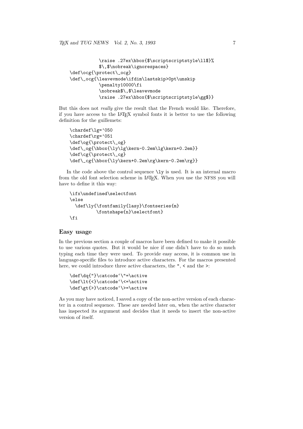```
\raise .27ex\hbox{$\scriptscriptstyle\ll$}%
           $\,$\nobreak\ignorespaces}
\def\ocg{\protect\_ocg}
\def\_ocg{\leavevmode\ifdim\lastskip>0pt\unskip
           \penalty10000\fi
           \nobreak$\,$\leavevmode
           \raise .27ex\hbox{$\scriptscriptstyle\gg$}}
```
But this does not really give the result that the French would like. Therefore, if you have access to the L<sup>A</sup>TEX symbol fonts it is better to use the following definition for the guillemets:

```
\chardef\lg='050
\chardef\rg='051
\def\og{\protect\_og}
\def\_og{\hbox{\ly\lg\kern-0.2em\lg\kern+0.2em}}
\def\cg{\protect\_cg}
\def\_cg{\hbox{\ly\kern+0.2em\rg\kern-0.2em\rg}}
```
In the code above the control sequence  $\iota$  ly is used. It is an internal macro from the old font selection scheme in LAT<sub>EX</sub>. When you use the NFSS you will have to define it this way:

```
\ifx\undefined\selectfont
\else
  \def\ly{\fontfamily{lasy}\fontseries{m}
          \fontshape{n}\selectfont}
\fi
```
#### Easy usage

In the previous section a couple of macros have been defined to make it possible to use various quotes. But it would be nice if one didn't have to do so much typing each time they were used. To provide easy access, it is common use in language-specific files to introduce active characters. For the macros presented here, we could introduce three active characters, the ", < and the  $\ge$ :

```
\def\dq{"}\catcode'\"=\active
\def\lt{<}\catcode'\<=\active
\def\gt{>}\catcode'\>=\active
```
As you may have noticed, I saved a copy of the non-active version of each character in a control sequence. These are needed later on, when the active character has inspected its argument and decides that it needs to insert the non-active version of itself.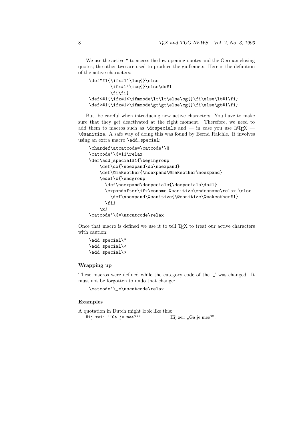We use the active " to access the low opening quotes and the German closing quotes; the other two are used to produce the guillemets. Here is the definition of the active characters:

```
\def"#1{\ifx#1'\loq{}\else
                           \ifx#1'\icq{}\else\dq#1
                           \ifmmode \frac{1}{1} \ifmmode \frac{1}{1} \ifmmode \frac{1}{1} \ifmmode \frac{1}{1} \ifmmode \frac{1}{1} \ifmmode \frac{1}{1} \ifmmode \frac{1}{1} \ifmmode \frac{1}{1} \ifmmode \frac{1}{1} \ifmmode \frac{1}{1} \ifmmode \frac{1}{1} \ifmmode \frac{1}{1} \ifmmode \frac{1}{1} \ifmmode \frac{1}{1} \ifmmode \frac{1}{1} \ifmmode \frac{1}{1} \ifmmode \frac{1}{1} \ifmmode \frac{1}{1} \ifmmode \frac{1}{1} \ifmmode \frac{1}{1}\def<#1{\ifx#1<\ifmmode\lt\lt\else\og{}\fi\else\lt#1\fi}
\def>#1{\ifx#1>\ifmmode\gt\gt\else\cg{}\fi\else\gt#1\fi}
```
But, be careful when introducing new active characters. You have to make sure that they get deactivated at the right moment. Therefore, we need to add them to macros such as \dospecials and — in case you use LATEX — \@sanitize. A safe way of doing this was found by Bernd Raichle. It involves using an extra macro \add\_special:

```
\chardef\atcatcode=\catcode'\@
\catcode'\@=11\relax
\def\add_special#1{\begingroup
   \def\do{\noexpand\do\noexpand}
   \def\@makeother{\noexpand\@makeother\noexpand}
   \edef\x{\endgroup
     \def\noexpand\dospecials{\dospecials\do#1}
      \expandafter\ifx\csname @sanitize\endcsname\relax \else
        \def\noexpand\@sanitize{\@sanitize\@makeother#1}
     \fi}
   \{x\}\catcode'\@=\atcatcode\relax
```
Once that macro is defined we use it to tell T<sub>E</sub>X to treat our active characters with caution:

\add\_special\" \add\_special\< \add\_special\>

#### Wrapping up

These macros were defined while the category code of the '.' was changed. It must not be forgotten to undo that change:

\catcode'\\_=\uscatcode\relax

#### Examples

```
A quotation in Dutch might look like this:
   Hij zei: "'Ga je mee?''.
                                         Hij zei: "Ga je mee?".
```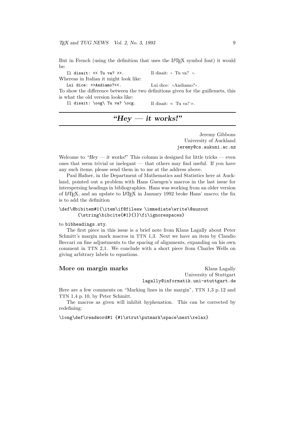But in French (using the definition that uses the L<sup>AT</sup>EX symbol font) it would be:

Il disait: << Tu va? >>. Il disait: « Tu va? ». Whereas in Italian it might look like:

Lui dice: >>Andiamo?<<. Lui dice: \*Andiamo?«.

To show the difference between the two definitions given for the guillemets, this is what the old version looks like:

Il disait: \oog\ Tu va? \ocg. Il disait: <sup>≪</sup> Tu va? <sup>≫</sup>.

# " $Hev - it \text{ works}!$ "

Jeremy Gibbons University of Auckland jeremy@cs.aukuni.ac.nz

Welcome to "Hey  $-$  it works!" This column is designed for little tricks  $-$  even ones that seem trivial or inelegant — that others may find useful. If you have any such items, please send them in to me at the address above.

Paul Hafner, in the Department of Mathematics and Statistics here at Auckland, pointed out a problem with Hans Guesgen's macros in the last issue for interspersing headings in bibliographies. Hans was working from an older version of L<sup>A</sup>TEX, and an update to L<sup>A</sup>TEX in January 1992 broke Hans' macro; the fix is to add the definition

```
\def\@bibitem#1{\item\if@filesw \immediate\write\@auxout
       {\string\bibcite{#1}{}}\fi\ignorespaces}
```
#### to bibheadings.sty.

The first piece in this issue is a brief note from Klaus Lagally about Peter Schmitt's margin mark macros in TTN 1,3. Next we have an item by Claudio Beccari on fine adjustments to the spacing of alignments, expanding on his own comment in TTN 2,1. We conclude with a short piece from Charles Wells on giving arbitrary labels to equations.

More on margin marks Klaus Lagally University of Stuttgart lagally@informatik.uni-stuttgart.de

Here are a few comments on "Marking lines in the margin", TTN 1,3 p. 12 and TTN 1,4 p. 10, by Peter Schmitt.

The macros as given will inhibit hyphenation. This can be corrected by redefining:

\long\def\readword#1 {#1\strut\putmark\space\next\relax}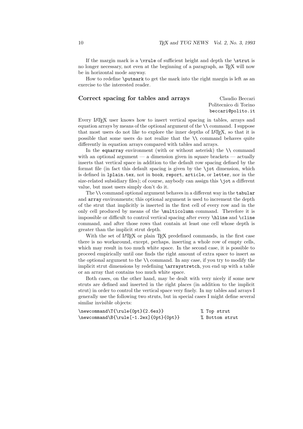If the margin mark is a \vrule of sufficient height and depth the \strut is no longer necessary, not even at the beginning of a paragraph, as TEX will now be in horizontal mode anyway.

How to redefine  $\put{$  butmark to get the mark into the right margin is left as an exercise to the interested reader.

# Correct spacing for tables and arrays Claudio Beccari

Politecnico di Torino beccari@polito.it

Every L<sup>A</sup>TEX user knows how to insert vertical spacing in tables, arrays and equation arrays by means of the optional argument of the \\ command. I suppose that most users do not like to explore the inner depths of LAT<sub>EX</sub>, so that it is possible that some users do not realize that the \\ command behaves quite differently in equation arrays compared with tables and arrays.

In the equarray environment (with or without asterisk) the  $\setminus \mathcal{E}$  command with an optional argument — a dimension given in square brackets — actually inserts that vertical space in addition to the default row spacing defined by the format file (in fact this default spacing is given by the **\jot** dimension, which is defined in lplain.tex, not in book, report, article, or letter, nor in the size-related subsidiary files); of course, anybody can assign this \jot a different value, but most users simply don't do it.

The  $\setminus \mathcal{C}$  command optional argument behaves in a different way in the tabular and array environments; this optional argument is used to increment the depth of the strut that implicitly is inserted in the first cell of every row and in the only cell produced by means of the \multicolumn command. Therefore it is impossible or difficult to control vertical spacing after every \hline and \cline command, and after those rows that contain at least one cell whose depth is greater than the implicit strut depth.

With the set of LAT<sub>EX</sub> or plain T<sub>EX</sub> predefined commands, in the first case there is no workaround, except, perhaps, inserting a whole row of empty cells, which may result in too much white space. In the second case, it is possible to proceed empirically until one finds the right amount of extra space to insert as the optional argument to the  $\setminus \setminus$  command. In any case, if you try to modify the implicit strut dimensions by redefining \arraystretch, you end up with a table or an array that contains too much white space.

Both cases, on the other hand, may be dealt with very nicely if some new struts are defined and inserted in the right places (in addition to the implicit strut) in order to control the vertical space very finely. In my tables and arrays I generally use the following two struts, but in special cases I might define several similar invisible objects:

| $\newcommand\T{\rule{t}{5pt}{\n 1\end{t}}\$ \rule{0pt}{2.6ex}}                   | % Top strut    |  |
|----------------------------------------------------------------------------------|----------------|--|
| $\newcommand\B{\rule{1.1ex}{1.2ex}1.2ex}$ \newcommand\B{\rule[-1.2ex]{0pt}{0pt}} | % Bottom strut |  |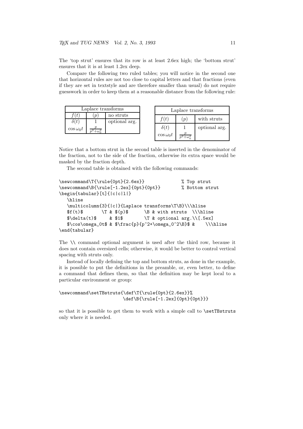The 'top strut' ensures that its row is at least 2.6ex high; the 'bottom strut' ensures that it is at least 1.2ex deep.

Compare the following two ruled tables; you will notice in the second one that horizontal rules are not too close to capital letters and that fractions (even if they are set in textstyle and are therefore smaller than usual) do not require guesswork in order to keep them at a reasonable distance from the following rule:

| Laplace transforms |  |               |
|--------------------|--|---------------|
|                    |  | no struts     |
|                    |  | optional arg. |
| $\cos \omega_0 t$  |  |               |

| Laplace transforms |     |               |
|--------------------|-----|---------------|
| f(t)               | (p) | with struts   |
| $\delta(t)$        |     | optional arg. |
| $\cos \omega_0 t$  |     |               |

Notice that a bottom strut in the second table is inserted in the denominator of the fraction, not to the side of the fraction, otherwise its extra space would be masked by the fraction depth.

The second table is obtained with the following commands:

```
\newcommand\T{\rule{0pt}{2.6ex}} % Top strut
\newcommand\B{\rule[-1.2ex]{0pt}{0pt}} % Bottom strut
\begin{tabular}[t]{|c|c|l|}
  \hline
  \multicolumn{3}{|c|}{Laplace transforms\T\B}\\\hline
  $f(t)$ \T & $(p)$ \B & with struts \\\hline
  \delta \delta(t) & $1$ \T & optional arg.\\[.5ex]
  $\cos\omega_0t$ & $\frac{p}{p^2+\omega_0^2\B}$ & \\\hline
\end{tabular}
```
The \\ command optional argument is used after the third row, because it does not contain oversized cells; otherwise, it would be better to control vertical spacing with struts only.

Instead of locally defining the top and bottom struts, as done in the example, it is possible to put the definitions in the preamble, or, even better, to define a command that defines them, so that the definition may be kept local to a particular environment or group:

```
\newcommand\setTBstruts{\def\T{\rule{0pt}{2.6ex}}%
                        \def\B{\rule[-1.2ex]{0pt}{0pt}}}
```
so that it is possible to get them to work with a simple call to **\setTBstruts** only where it is needed.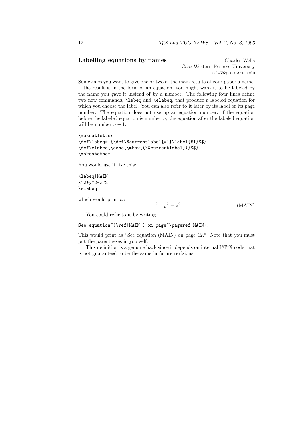#### Labelling equations by names Charles Wells

Case Western Reserve University cfw2@po.cwru.edu

Sometimes you want to give one or two of the main results of your paper a name. If the result is in the form of an equation, you might want it to be labeled by the name you gave it instead of by a number. The following four lines define two new commands, \labeq and \elabeq, that produce a labeled equation for which you choose the label. You can also refer to it later by its label or its page number. The equation does not use up an equation number: if the equation before the labeled equation is number  $n$ , the equation after the labeled equation will be number  $n + 1$ .

```
\makeatletter
\def\labeq#1{\def\@currentlabel{#1}\label{#1}$$}
\def\elabeq{\eqno{\mbox{(\@currentlabel})}$$}
\makeatother
```
You would use it like this:

\labeq{MAIN}  $x^2+y^2=z^2$ \elabeq

which would print as

$$
x^2 + y^2 = z^2 \tag{MAIN}
$$

You could refer to it by writing

See equation~(\ref{MAIN}) on page~\pageref{MAIN}.

This would print as "See equation (MAIN) on page 12." Note that you must put the parentheses in yourself.

This definition is a genuine hack since it depends on internal LAT<sub>E</sub>X code that is not guaranteed to be the same in future revisions.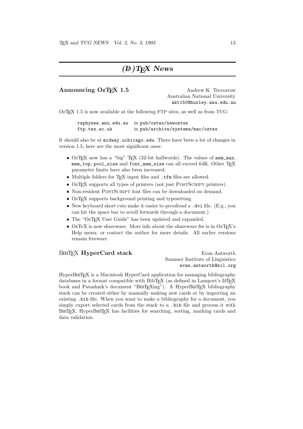# $(E)$  T<sub>F</sub>X News

#### Announcing OzT<sub>F</sub>X 1.5 Andrew K. Trevorrow

Australian National University akt150@huxley.anu.edu.au

 $OzT_FX$  1.5 is now available at the following FTP sites, as well as from TUG:

rsphysse.anu.edu.au in pub/oztex/newoztex ftp.tex.ac.uk in pub/archive/systems/mac/oztex

It should also be at midway.uchicago.edu. There have been a lot of changes in version 1.5; here are the most significant ones:

- OzTEX now has a "big" TEX (32-bit halfwords). The values of mem\_max, mem\_top, pool\_size and font\_mem\_size can all exceed 64K. Other TEX parameter limits have also been increased.
- Multiple folders for T<sub>E</sub>X input files and .tfm files are allowed.
- OzT<sub>F</sub>X supports all types of printers (not just POSTSCRIPT printers).
- Non-resident POSTSCRIPT font files can be downloaded on demand.
- OzT<sub>E</sub>X supports background printing and typesetting.
- New keyboard short cuts make it easier to proofread a .dvi file. (E.g., you can hit the space bar to scroll forwards through a document.)
- The "OzT<sub>F</sub>X User Guide" has been updated and expanded.
- OzTeX is now shareware. More info about the shareware fee is in OzTeX's Help menu; or contact the author for more details. All earlier versions remain freeware.

#### BIBT<sub>EX</sub> HyperCard stack Evan Antworth

Summer Institute of Linguistics evan.antworth@sil.org

HyperBIBT<sub>EX</sub> is a Macintosh HyperCard application for managing bibliography databases in a format compatible with BibTEX (as defined in Lamport's IATEX book and Patashnik's document "BIBTEXing"). A HyperBIBTEX bibliography stack can be created either by manually making new cards or by importing an existing .bib file. When you want to make a bibliography for a document, you simply export selected cards from the stack to a .bib file and process it with BIBT<sub>EX</sub>. HyperBIBT<sub>EX</sub> has facilities for searching, sorting, marking cards and data validation.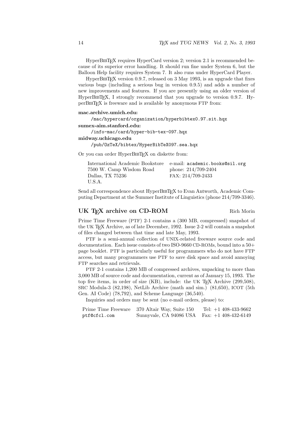HyperBIBT<sub>EX</sub> requires HyperCard version 2; version 2.1 is recommended because of its superior error handling. It should run fine under System 6, but the Balloon Help facility requires System 7. It also runs under HyperCard Player.

HyperBIBT<sub>EX</sub> version 0.9.7, released on 3 May 1993, is an upgrade that fixes various bugs (including a serious bug in version 0.9.5) and adds a number of new improvements and features. If you are presently using an older version of HyperBIBT<sub>EX</sub>, I strongly recommend that you upgrade to version 0.9.7. HyperBibTEX is freeware and is available by anonymous FTP from:

#### mac.archive.umich.edu:

/mac/hypercard/organization/hyperbibtex0.97.sit.hqx

#### sumex-aim.stanford.edu:

/info-mac/card/hyper-bib-tex-097.hqx

#### midway.uchicago.edu

/pub/OzTeX/bibtex/HyperBibTeX097.sea.hqx

Or you can order HyperBIBT<sub>EX</sub> on diskette from:

| International Academic Bookstore e-mail: academic.books@sil.org |                       |
|-----------------------------------------------------------------|-----------------------|
| 7500 W. Camp Wisdom Road                                        | phone: $214/709-2404$ |
| Dallas, TX 75236                                                | FAX: 214/709-2433     |
| U.S.A.                                                          |                       |

Send all correspondence about HyperBIBT<sub>EX</sub> to Evan Antworth, Academic Computing Department at the Summer Institute of Linguistics (phone 214/709-3346).

#### UK TEX archive on CD-ROM Rich Morin

Prime Time Freeware (PTF) 2-1 contains a (300 MB, compressed) snapshot of the UK TEX Archive, as of late December, 1992. Issue 2-2 will contain a snapshot of files changed between that time and late May, 1993.

PTF is a semi-annual collection of UNIX-related freeware source code and documentation. Each issue consists of two ISO-9660 CD-ROMs, bound into a 50+ page booklet. PTF is particularly useful for programmers who do not have FTP access, but many programmers use PTF to save disk space and avoid annoying FTP searches and retrievals.

PTF 2-1 contains 1,200 MB of compressed archives, unpacking to more than 3,000 MB of source code and documentation, current as of January 15, 1993. The top five items, in order of size (KB), include: the UK TEX Archive (299,508), SRC Modula-3 (82,198), NetLib Archive (math and sim.) (81,650), ICOT (5th Gen. AI Code) (78,792), and Scheme Language (36,540).

Inquiries and orders may be sent (no e-mail orders, please) to:

|              | Prime Time Freeware 370 Altair Way, Suite 150 | Tel: $+1$ 408-433-9662 |
|--------------|-----------------------------------------------|------------------------|
| ptf@cfcl.com | Sunnyvale, CA 94086 USA Fax: +1 408-432-6149  |                        |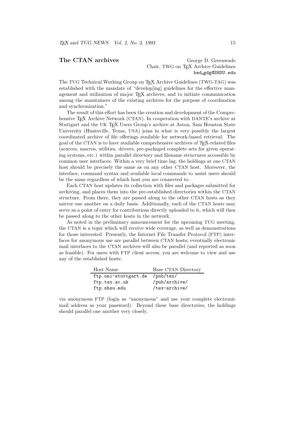#### The CTAN archives George D. Greenwade Chair, TWG on T<sub>E</sub>X Archive Guidelines bed gdg@SHSU.edu

The TUG Technical Working Group on TEX Archive Guidelines (TWG-TAG) was established with the mandate of "develop[ing] guidelines for the effective management and utilization of major T<sub>EX</sub> archives, and to initiate communication among the maintainers of the existing archives for the purpose of coordination and synchronization."

The result of this effort has been the creation and development of the Comprehensive T<sub>EX</sub> Archive Network (CTAN). In cooperation with DANTE's archive at Stuttgart and the UK TEX Users Group's archive at Aston, Sam Houston State University (Huntsville, Texas, USA) joins in what is very possibly the largest coordinated archive of file offerings available for network-based retrieval. The goal of the CTAN is to have available comprehensive archives of TEX-related files (sources, macros, utilities, drivers, pre-packaged complete sets for given operating systems, etc.) within parallel directory and filename structures accessible by common user interfaces. Within a very brief time lag, the holdings at one CTAN host should be precisely the same as on any other CTAN host. Moreover, the interface, command syntax and available local commands to assist users should be the same regardless of which host you are connected to.

Each CTAN host updates its collection with files and packages submitted for archiving, and places them into the pre-established directories within the CTAN structure. From there, they are passed along to the other CTAN hosts as they mirror one another on a daily basis. Additionally, each of the CTAN hosts may serve as a point of entry for contributions directly uploaded to it, which will then be passed along to the other hosts in the network.

As noted in the preliminary announcement for the upcoming TUG meeting, the CTAN is a topic which will receive wide coverage, as well as demonstrations for those interested. Presently, the Internet File Transfer Protocol (FTP) interfaces for anonymous use are parallel between CTAN hosts; eventually electronic mail interfaces to the CTAN archives will also be parallel (and reported as soon as feasible). For users with FTP client access, you are welcome to view and use any of the established hosts:

| Host Name            | Base CTAN Directory |
|----------------------|---------------------|
| ftp.uni-stuttgart.de | /pub/tex/           |
| ftp.tex.ac.uk        | /pub/archive/       |
| ftp.shsu.edu         | /tex-archive/       |

via anonymous FTP (login as "anonymous" and use your complete electronic mail address as your password). Beyond these base directories, the holdings should parallel one another very closely.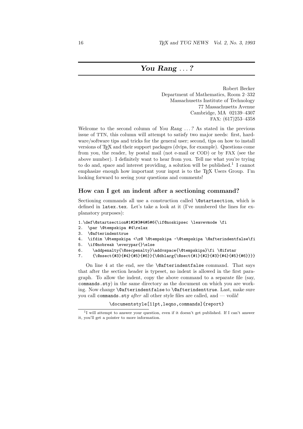# You Rang ...?

Robert Becker Department of Mathematics, Room 2–332 Massachusetts Institute of Technology 77 Massachusetts Avenue Cambridge, MA 02139–4307 FAX: (617)253–4358

Welcome to the second column of You Rang ...? As stated in the previous issue of TTN, this column will attempt to satisfy two major needs: first, hardware/software tips and tricks for the general user; second, tips on how to install versions of TEX and their support packages (dvips, for example). Questions come from you, the reader, by postal mail (not e-mail or COD) or by FAX (see the above number). I definitely want to hear from you. Tell me what you're trying to do and, space and interest providing, a solution will be published.<sup>1</sup> I cannot emphasize enough how important your input is to the TEX Users Group. I'm looking forward to seeing your questions and comments!

#### How can I get an indent after a sectioning command?

Sectioning commands all use a construction called \@startsection, which is defined in latex.tex. Let's take a look at it (I've numbered the lines for explanatory purposes):

- 1.\def\@startsection#1#2#3#4#5#6{\if@noskipsec \leavevmode \fi
- 2. \par \@tempskipa #4\relax
- 3. \@afterindenttrue
- 4. \ifdim \@tempskipa <\z@ \@tempskipa -\@tempskipa \@afterindentfalse\fi
- 5. \if@nobreak \everypar{}\else
- 6. \addpenalty{\@secpenalty}\addvspace{\@tempskipa}\fi \@ifstar
- 7. {\@ssect{#3}{#4}{#5}{#6}}{\@dblarg{\@sect{#1}{#2}{#3}{#4}{#5}{#6}}}}

On line 4 at the end, see the \@afterindentfalse command. That says that after the section header is typeset, no indent is allowed in the first paragraph. To allow the indent, copy the above command to a separate file (say, commands.sty) in the same directory as the document on which you are working. Now change \@afterindentfalse to \@afterindenttrue. Last, make sure you call commands.sty after all other style files are called, and — voila!

\documentstyle[11pt,leqno,commands]{report}

<sup>&</sup>lt;sup>1</sup>I will attempt to answer your question, even if it doesn't get published. If I can't answer it, you'll get a pointer to more information.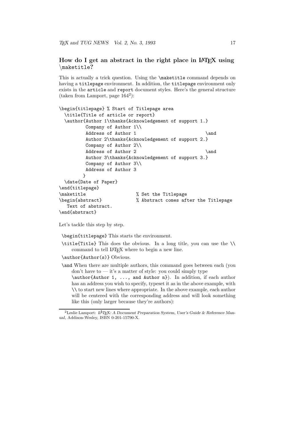#### How do I get an abstract in the right place in IAT<sub>EX</sub> using \maketitle?

This is actually a trick question. Using the \maketitle command depends on having a titlepage environment. In addition, the titlepage environment only exists in the article and report document styles. Here's the general structure (taken from Lamport, page 164<sup>2</sup> ):

```
\begin{titlepage} % Start of Titlepage area
 \title{Title of article or report}
 \author{Author 1\thanks{Acknowledgement of support 1.}
        Company of Author 1\\
        Address of Author 1 \and
        Author 2\thanks{Acknowledgement of support 2.}
        Company of Author 2\\
        Address of Author 2 \and
        Author 3\thanks{Acknowledgement of support 3.}
        Company of Author 3\\
        Address of Author 3
       }
 \date{Date of Paper}
\end{titlepage}
\maketitle \% Set the Titlepage
\begin{abstract} % Abstract comes after the Titlepage
  Text of abstract.
\end{abstract}
```
Let's tackle this step by step.

\begin{titlepage} This starts the environment.

\title{Title} This does the obvious. In a long title, you can use the \\ command to tell L<sup>A</sup>TEX where to begin a new line.

\author{Author(s)} Obvious.

\and When there are multiple authors, this command goes between each (you  $\gamma$  don't have to  $\gamma$  it's a matter of style: you could simply type

\author{Author 1, ..., and Author n}). In addition, if each author has an address you wish to specify, typeset it as in the above example, with \\ to start new lines where appropriate. In the above example, each author will be centered with the corresponding address and will look something like this (only larger because they're authors):

<sup>&</sup>lt;sup>2</sup>Leslie Lamport: L<sup>A</sup>TEX: A Document Preparation System, User's Guide & Reference Manual, Addison-Wesley, ISBN 0-201-15790-X.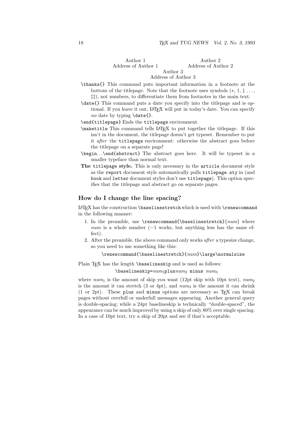Author 2

Author 1 Address of Author 1

#### Address of Author 2 Author 3

#### Address of Author 3

- \thanks{} This command puts important information in a footnote at the bottom of the titlepage. Note that the footnote uses symbols  $(*, \dagger, \dagger, \ldots,$ ‡‡), not numbers, to differentiate them from footnotes in the main text.
- \date{} This command puts a date you specify into the titlepage and is optional. If you leave it out, LAT<sub>EX</sub> will put in today's date. You can specify no date by typing \date{}.

\end{titlepage} Ends the titlepage environment.

- \maketitle This command tells L<sup>A</sup>TEX to put together the titlepage. If this isn't in the document, the titlepage doesn't get typeset. Remember to put it after the titlepage environment: otherwise the abstract goes before the titlepage on a separate page!
- \begin. . .\end{abstract} The abstract goes here. It will be typeset in a smaller typeface than normal text.
- The titlepage style. This is only necessary in the article document style as the report document style automatically pulls titlepage.sty in (and book and letter document styles don't use titlepage). This option specifies that the titlepage and abstract go on separate pages.

#### How do I change the line spacing?

 $\LaTeX\ has\ the\ construction\baselines\text{to}\ which\ is\ used\ with\ \tree\command{c}{c}$ in the following manner:

- 1. In the preamble, use \renewcommand{\baselinestretch}{ $num$ } where  $num$  is a whole number (−1 works, but anything less has the same effect).
- 2. After the preamble, the above command only works after a typesize change, so you need to use something like this:

 $\rm{M\bar{D}~\mu}$ 

Plain TEX has the length **\baselineskip** and is used as follows:

 $\{\text{baselineskip} = num_1$ plus $num_2$  minus  $num_3$ 

where  $num_1$  is the amount of skip you want (12pt skip with 10pt text),  $num_2$ is the amount it can stretch  $(3 \text{ or } 4pt)$ , and  $num_3$  is the amount it can shrink (1 or 2pt). These plus and minus options are necessary so TEX can break pages without overfull or underfull messages appearing. Another general query is double-spacing; while a 24pt baselineskip is technically "double-spaced", the appearance can be much improved by using a skip of only 80% over single spacing. In a case of 10pt text, try a skip of 20pt and see if that's acceptable.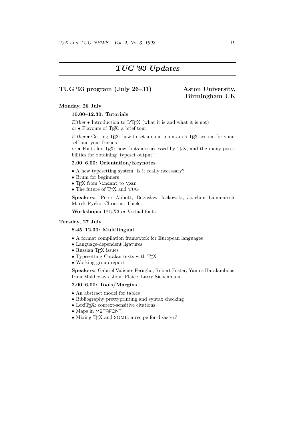# TUG '93 Updates

#### TUG '93 program (July 26–31) Aston University,

# Birmingham UK

#### Monday, 26 July

#### 10.00–12.30: Tutorials

Either  $\bullet$  Introduction to LAT<sub>EX</sub> (what it is and what it is not) or  $\bullet$  Flavours of T<sub>E</sub>X: a brief tour

Either  $\bullet$  Getting T<sub>E</sub>X: how to set up and maintain a T<sub>E</sub>X system for yourself and your friends

or  $\bullet$  Fonts for T<sub>E</sub>X: how fonts are accessed by T<sub>E</sub>X, and the many possibilities for obtaining 'typeset output'

#### 2.00–6.00: Orientation/Keynotes

- A new typesetting system: is it really necessary?
- Brum for beginners
- $\bullet$  T<sub>E</sub>X from **\indent** to **\par**
- The future of T<sub>F</sub>X and TUG

Speakers: Peter Abbott, Bogusław Jackowski, Joachim Lammarsch, Marek Ryćko, Christina Thiele.

Workshops: L<sup>AT</sup>EX3 or Virtual fonts

#### Tuesday, 27 July

#### 8.45–12.30: Multilingual

- A format compilation framework for European languages
- Language-dependent ligatures
- $\bullet$  Russian T<sub>E</sub>X issues
- Typesetting Catalan texts with TEX
- Working group report

Speakers: Gabriel Valiente Feruglio, Robert Fuster, Yannis Haralambous, Irina Makhovaya, John Plaice, Larry Siebenmann

#### 2.00–6.00: Tools/Margins

- An abstract model for tables
- Bibliography prettyprinting and syntax checking
- $\bullet$  LexiT<sub>E</sub>X: context-sensitive citations
- Maps in METAFONT
- Mixing T<sub>F</sub>X and SGML: a recipe for disaster?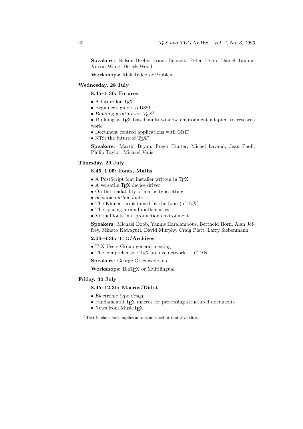Speakers: Nelson Beebe, Frank Bennett, Peter Flynn, Daniel Taupin, Xinxin Wang, Derick Wood

Workshops: MakeIndex or Problem

#### Wednesday, 28 July

#### 8.45–1.30: Futures

- A future for TFX
- Beginner's guide to DSSL
- $\bullet$  Building a future for  $T_{\text{F}}\!X^1$
- Building a T<sub>E</sub>X-based multi-window environment adapted to research work
- Document centred applications with GRIF
- NTS: the future of TFX?

Speakers: Martin Bryan, Roger Hunter, Michel Lavaud, Jean Paoli, Philip Taylor, Michael Vulis

#### Thursday, 29 July

#### 8.45–1.05: Fonts, Maths

- A PostScript font installer written in T<sub>E</sub>X
- $\bullet$  A versatile T<sub>E</sub>X device driver
- On the readability of maths typesetting
- Scalable outline fonts
- The Khmer script tamed by the Lion (of T<sub>E</sub>X)
- The spacing around mathematics
- Virtual fonts in a production environment

Speakers: Michael Doob, Yannis Haralambous, Berthold Horn, Alan Jeffrey, Minato Kawaguti, David Murphy, Craig Platt, Larry Siebenmann

#### 2.00–6.30: TUG/Archives

- TEX Users Group general meeting
- The comprehensive T<sub>E</sub>X archive network CTAN

Speakers: George Greenwade, etc.

Workshops: BIBTEX or Multilingual

#### Friday, 30 July

#### 8.45–12.30: Macros/Didot

- Electronic type design
- Fundamental TEX macros for processing structured documents
- News from MusicT<sub>EX</sub>

<sup>1</sup>Text in slant font implies an unconfirmed or tentative title.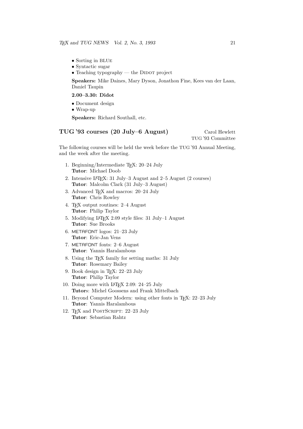- Sorting in BLUe
- Syntactic sugar
- Teaching typography the DIDOT project

Speakers: Mike Daines, Mary Dyson, Jonathon Fine, Kees van der Laan, Daniel Taupin

#### 2.00–3.30: Didot

- Document design
- Wrap-up

Speakers: Richard Southall, etc.

## TUG '93 courses (20 July–6 August) Carol Hewlett

TUG '93 Committee

The following courses will be held the week before the TUG '93 Annual Meeting, and the week after the meeting.

- 1. Beginning/Intermediate TEX: 20–24 July Tutor: Michael Doob
- 2. Intensive L<sup>A</sup>TEX: 31 July–3 August and 2–5 August (2 courses) Tutor: Malcolm Clark (31 July–3 August)
- 3. Advanced T<sub>E</sub>X and macros: 20–24 July Tutor: Chris Rowley
- 4. TEX output routines: 2–4 August Tutor: Philip Taylor
- 5. Modifying L<sup>A</sup>TEX 2.09 style files: 31 July–1 August Tutor: Sue Brooks
- 6. METAFONT logos: 21–23 July Tutor: Eric-Jan Vens
- 7. METAFONT fonts: 2–6 August Tutor: Yannis Haralambous
- 8. Using the TEX family for setting maths: 31 July Tutor: Rosemary Bailey
- 9. Book design in TEX: 22–23 July Tutor: Philip Taylor
- 10. Doing more with LATFX 2.09: 24-25 July Tutors: Michel Goossens and Frank Mittelbach
- 11. Beyond Computer Modern: using other fonts in T<sub>E</sub>X: 22-23 July Tutor: Yannis Haralambous
- 12. T<sub>E</sub>X and POSTSCRIPT: 22-23 July Tutor: Sebastian Rahtz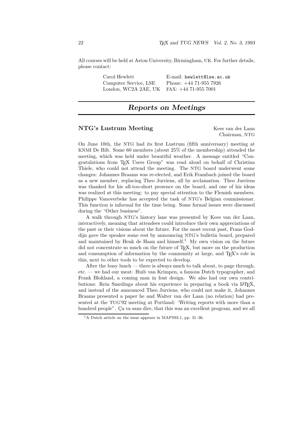All courses will be held at Aston University, Birmingham, UK. For further details, please contact:

| Carol Hewlett                             | E-mail: hewlett@lse.ac.uk |
|-------------------------------------------|---------------------------|
| Computer Service, LSE                     | Phone: $+44$ 71-955 7926  |
| London, WC2A 2AE, UK FAX: +44 71-955 7001 |                           |

# Reports on Meetings

#### NTG's Lustrum Meeting Kees van der Laan

Chairman, NTG

On June 10th, the NTG had its first Lustrum (fifth anniversary) meeting at KNMI De Bilt. Some 60 members (about 25% of the membership) attended the meeting, which was held under beautiful weather. A message entitled "Congratulations from TEX Users Group" was read aloud on behalf of Christina Thiele, who could not attend the meeting. The NTG board underwent some changes: Johannes Braams was re-elected, and Erik Frambach joined the board as a new member, replacing Theo Jurriens, all by acclamation. Theo Jurriens was thanked for his all-too-short presence on the board, and one of his ideas was realized at this meeting: to pay special attention to the Flemish members. Philippe Vanoverbeke has accepted the task of NTG's Belgian commissionar. This function is informal for the time being. Some formal issues were discussed during the "Other business".

A walk through NTG's history lane was presented by Kees van der Laan, interactively, meaning that attendees could introduce their own appreciations of the past or their visions about the future. For the most recent past, Frans Goddijn gave the speaker some rest by announcing NTG's bulletin board, prepared and maintained by Henk de Haan and himself.<sup>1</sup> My own vision on the future did not concentrate so much on the future of T<sub>E</sub>X, but more on the production and consumption of information by the community at large, and T<sub>E</sub>X's role in this, next to other tools to be expected to develop.

After the busy lunch — there is always much to talk about, to page through, etc. — we had our meat: Huib van Krimpen, a famous Dutch typographer, and Frank Blokland, a coming man in font design. We also had our own contributions: Rein Smedinga about his experience in preparing a book via LAT<sub>E</sub>X, and instead of the announced Theo Jurriens, who could not make it, Johannes Braams presented a paper he and Walter van der Laan (no relation) had presented at the TUG'92 meeting at Portland: 'Writing reports with more than a hundred people". Ça va sans dire, that this was an excellent program, and we all

<sup>&</sup>lt;sup>1</sup>A Dutch article on the issue appears in MAPS93.1, pp. 31–36.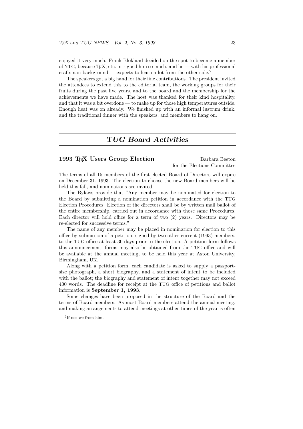enjoyed it very much. Frank Blokland decided on the spot to become a member of NTG, because TEX, etc. intrigued him so much, and he — with his professional craftsman background — expects to learn a lot from the other side.<sup>2</sup>

The speakers got a big hand for their fine contributions. The president invited the attendees to extend this to the editorial team, the working groups for their fruits during the past five years, and to the board and the membership for the achievements we have made. The host was thanked for their kind hospitality, and that it was a bit overdone — to make up for those high temperatures outside. Enough heat was on already. We finished up with an informal lustrum drink, and the traditional dinner with the speakers, and members to hang on.

# TUG Board Activities

#### 1993 T<sub>F</sub>X Users Group Election Barbara Beeton

for the Elections Committee

The terms of all 15 members of the first elected Board of Directors will expire on December 31, 1993. The election to choose the new Board members will be held this fall, and nominations are invited.

The Bylaws provide that "Any member may be nominated for election to the Board by submitting a nomination petition in accordance with the TUG Election Procedures. Election of the directors shall be by written mail ballot of the entire membership, carried out in accordance with those same Procedures. Each director will hold office for a term of two (2) years. Directors may be re-elected for successive terms."

The name of any member may be placed in nomination for election to this office by submission of a petition, signed by two other current (1993) members, to the TUG office at least 30 days prior to the election. A petition form follows this announcement; forms may also be obtained from the TUG office and will be available at the annual meeting, to be held this year at Aston University, Birmingham, UK.

Along with a petition form, each candidate is asked to supply a passportsize photograph, a short biography, and a statement of intent to be included with the ballot; the biography and statement of intent together may not exceed 400 words. The deadline for receipt at the TUG office of petitions and ballot information is September 1, 1993.

Some changes have been proposed in the structure of the Board and the terms of Board members. As most Board members attend the annual meeting, and making arrangements to attend meetings at other times of the year is often

<sup>2</sup> If not we from him.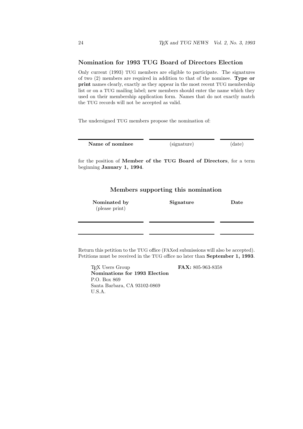#### Nomination for 1993 TUG Board of Directors Election

Only current (1993) TUG members are eligible to participate. The signatures of two (2) members are required in addition to that of the nominee. Type or print names clearly, exactly as they appear in the most recent TUG membership list or on a TUG mailing label; new members should enter the name which they used on their membership application form. Names that do not exactly match the TUG records will not be accepted as valid.

The undersigned TUG members propose the nomination of:

| Name of nominee | (signature) | (date) |
|-----------------|-------------|--------|
|-----------------|-------------|--------|

for the position of Member of the TUG Board of Directors, for a term beginning January 1, 1994.

#### Members supporting this nomination

| Nominated by   | Signature | Date |
|----------------|-----------|------|
| (please print) |           |      |
|                |           |      |
|                |           |      |

Return this petition to the TUG office (FAXed submissions will also be accepted). Petitions must be received in the TUG office no later than September 1, 1993.

T<sub>E</sub>X Users Group **FAX:** 805-963-8358 Nominations for 1993 Election P.O. Box 869 Santa Barbara, CA 93102-0869 U.S.A.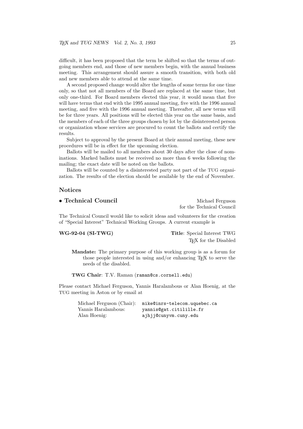difficult, it has been proposed that the term be shifted so that the terms of outgoing members end, and those of new members begin, with the annual business meeting. This arrangement should assure a smooth transition, with both old and new members able to attend at the same time.

A second proposed change would alter the lengths of some terms for one time only, so that not all members of the Board are replaced at the same time, but only one-third. For Board members elected this year, it would mean that five will have terms that end with the 1995 annual meeting, five with the 1996 annual meeting, and five with the 1996 annual meeting. Thereafter, all new terms will be for three years. All positions will be elected this year on the same basis, and the members of each of the three groups chosen by lot by the disinterested person or organization whose services are procured to count the ballots and certify the results.

Subject to approval by the present Board at their annual meeting, these new procedures will be in effect for the upcoming election.

Ballots will be mailed to all members about 30 days after the close of nominations. Marked ballots must be received no more than 6 weeks following the mailing; the exact date will be noted on the ballots.

Ballots will be counted by a disinterested party not part of the TUG organization. The results of the election should be available by the end of November.

#### Notices

| $\bullet$ Technical Council | Michael Ferguson          |
|-----------------------------|---------------------------|
|                             | for the Technical Council |

The Technical Council would like to solicit ideas and volunteers for the creation of "Special Interest" Technical Working Groups. A current example is

WG-92-04 (SI-TWG) Title: Special Interest TWG TEX for the Disabled

Mandate: The primary purpose of this working group is as a forum for those people interested in using and/or enhancing TEX to serve the needs of the disabled.

TWG Chair: T.V. Raman (raman@cs.cornell.edu)

Please contact Michael Ferguson, Yannis Haralambous or Alan Hoenig, at the TUG meeting in Aston or by email at

> Michael Ferguson (Chair): mike@inrs-telecom.uquebec.ca Yannis Haralambous: yannis@gat.citilille.fr Alan Hoenig: ajhjj@cunyvm.cuny.edu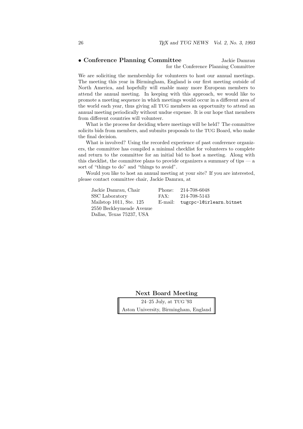## • Conference Planning Committee Jackie Damrau

for the Conference Planning Committee

We are soliciting the membership for volunteers to host our annual meetings. The meeting this year in Birmingham, England is our first meeting outside of North America, and hopefully will enable many more European members to attend the annual meeting. In keeping with this approach, we would like to promote a meeting sequence in which meetings would occur in a different area of the world each year, thus giving all TUG members an opportunity to attend an annual meeting periodically without undue expense. It is our hope that members from different countries will volunteer.

What is the process for deciding where meetings will be held? The committee solicits bids from members, and submits proposals to the TUG Board, who make the final decision.

What is involved? Using the recorded experience of past conference organizers, the committee has compiled a minimal checklist for volunteers to complete and return to the committee for an initial bid to host a meeting. Along with this checklist, the committee plans to provide organizers a summary of tips — a sort of "things to do" and "things to avoid".

Would you like to host an annual meeting at your site? If you are interested, please contact committee chair, Jackie Damrau, at

| Jackie Damrau, Chair     | Phone: 214-708-6048             |
|--------------------------|---------------------------------|
| SSC Laboratory           | FAX: $214-708-5143$             |
| Mailstop 1011, Ste. 125  | E-mail: tugcpc-l@irlearn.bitnet |
| 2550 Beckleymeade Avenue |                                 |
| Dallas, Texas 75237, USA |                                 |

Next Board Meeting

24–25 July, at TUG '93 Aston University, Birmingham, England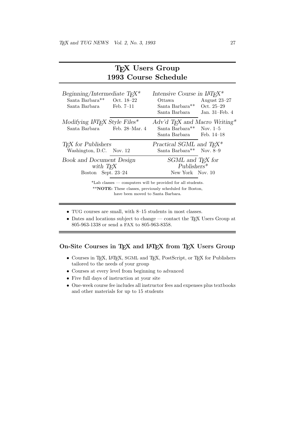| 1993 Course Schedule                                                                      |                                                                                                                                                   |  |  |  |
|-------------------------------------------------------------------------------------------|---------------------------------------------------------------------------------------------------------------------------------------------------|--|--|--|
| Beginning/Intermediate $T_F X^*$<br>Santa Barbara** Oct. 18-22<br>Santa Barbara Feb. 7-11 | Intensive Course in $LAT$ <sub>F</sub> $X^*$<br>August $23-27$<br>Ottawa<br>Santa Barbara**<br>Oct. 25–29<br>Santa Barbara<br>Jan. $31$ –Feb. $4$ |  |  |  |
| Modifying IATFX Style Files*                                                              | Adv'd T <sub>F</sub> X and Macro Writing*                                                                                                         |  |  |  |
| Santa Barbara                                                                             | Santa Barbara** Nov. 1-5                                                                                                                          |  |  |  |
| Feb. 28–Mar. 4                                                                            | Santa Barbara Feb. 14–18                                                                                                                          |  |  |  |
| <b>T<sub>F</sub>X</b> for Publishers                                                      | Practical SGML and $T_F X^*$                                                                                                                      |  |  |  |
| Washington, D.C. Nov. 12                                                                  | Santa Barbara** Nov. 8–9                                                                                                                          |  |  |  |
| <b>Book and Document Design</b>                                                           | SGML and T <sub>F</sub> X for                                                                                                                     |  |  |  |
| with T <sub>F</sub> X                                                                     | $Publishers*$                                                                                                                                     |  |  |  |
| Boston Sept. 23-24                                                                        | New York Nov. 10                                                                                                                                  |  |  |  |
|                                                                                           | *Lab classes — computers will be provided for all students.<br>** <b>NOTE:</b> These classes, previously scheduled for Boston,                    |  |  |  |

TEX Users Group

have been moved to Santa Barbara.

- TUG courses are small, with 8–15 students in most classes.
- Dates and locations subject to change contact the T<sub>E</sub>X Users Group at 805-963-1338 or send a FAX to 805-963-8358.

#### On-Site Courses in TEX and IATEX from TEX Users Group

- $\bullet\,$  Courses in TEX, IATEX, SGML and TEX, PostScript, or TEX for Publishers tailored to the needs of your group
- Courses at every level from beginning to advanced
- Five full days of instruction at your site
- One-week course fee includes all instructor fees and expenses plus textbooks and other materials for up to 15 students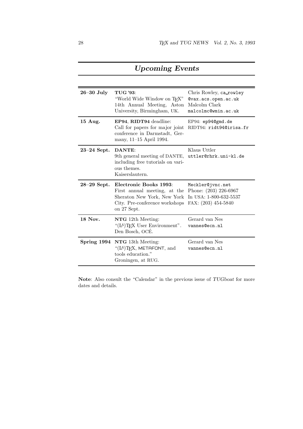| $26 - 30$ July  | <b>TUG</b> '93:<br>"World Wide Window on T <sub>F</sub> X"<br>14th Annual Meeting, Aston<br>University, Birmingham, UK.                                        | Chris Rowley, ca_rowley<br>Qvax.acs.open.ac.uk<br>Malcolm Clark<br>malcolmc@wmin.ac.uk |
|-----------------|----------------------------------------------------------------------------------------------------------------------------------------------------------------|----------------------------------------------------------------------------------------|
| 15 Aug.         | EP94, RIDT94 deadline:<br>Call for papers for major joint<br>conference in Darmstadt, Ger-<br>many, 11–15 April 1994.                                          | EP94: ep94@gmd.de<br>RIDT94: ridt94@irisa.fr                                           |
| $23-24$ Sept.   | DANTE:<br>9th general meeting of DANTE, uttler@rhrk.uni-kl.de<br>including free tutorials on vari-<br>ous themes.<br>Kaiserslautern.                           | Klaus Uttler                                                                           |
| $28 - 29$ Sept. | Electronic Books 1993:<br>First annual meeting, at the Phone: $(203)$ 226-6967<br>Sheraton New York, New York<br>City. Pre-conference workshops<br>on 27 Sept. | Meckler@jvnc.net<br>In USA: 1-800-632-5537<br>FAX: (203) 454-5840                      |
| 18 Nov.         | NTG 12th Meeting:<br>"(IA)T <sub>E</sub> X User Environment".<br>Den Bosch, OCÉ.                                                                               | Gerard van Nes<br>vannes@ecn.nl                                                        |
| Spring 1994     | NTG 13th Meeting:<br>" $(LA)$ T <sub>F</sub> X, METAFONT, and<br>tools education."<br>Groningen, at RUG.                                                       | Gerard van Nes<br>vannes@ecn.nl                                                        |

# Upcoming Events

Note: Also consult the "Calendar" in the previous issue of  $TUGboat$  for more dates and details.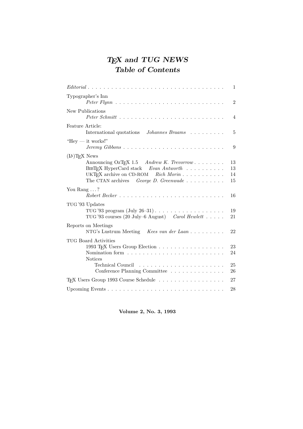# T<sub>E</sub>X and TUG NEWS Table of Contents

|                                                                                                                                                                                                                                          | 1                    |
|------------------------------------------------------------------------------------------------------------------------------------------------------------------------------------------------------------------------------------------|----------------------|
| Typographer's Inn                                                                                                                                                                                                                        | $\overline{2}$       |
| New Publications                                                                                                                                                                                                                         | 4                    |
| Feature Article:<br>International quotations Johannes Braams                                                                                                                                                                             | 5                    |
| "Hey $-$ it works!"<br>$Jeremy\ Gibbons \dots \dots \dots \dots \dots \dots \dots \dots \dots \dots \dots$                                                                                                                               | 9                    |
| $(LA)$ T <sub>F</sub> X News<br>Announcing OzT <sub>F</sub> X 1.5 Andrew K. Trevorrow<br>$BIBT$ <sub>F</sub> X HyperCard stack Evan Antworth<br>UKT <sub>F</sub> X archive on CD-ROM Rich Morin<br>The CTAN archives George D. Greenwade | 13<br>13<br>14<br>15 |
| You Rang $\dots$ ?                                                                                                                                                                                                                       | 16                   |
| TUG '93 Updates<br>TUG'93 courses (20 July–6 August) Carol Hewlett                                                                                                                                                                       | 19<br>21             |
| Reports on Meetings<br>NTG's Lustrum Meeting Kees van der Laan                                                                                                                                                                           | 22                   |
| TUG Board Activities<br>1993 T <sub>F</sub> X Users Group Election<br><b>Notices</b>                                                                                                                                                     | 23<br>24<br>25       |
| Conference Planning Committee                                                                                                                                                                                                            | 26                   |
| T <sub>F</sub> X Users Group 1993 Course Schedule                                                                                                                                                                                        | 27                   |
|                                                                                                                                                                                                                                          | 28                   |

Volume 2, No. 3, 1993